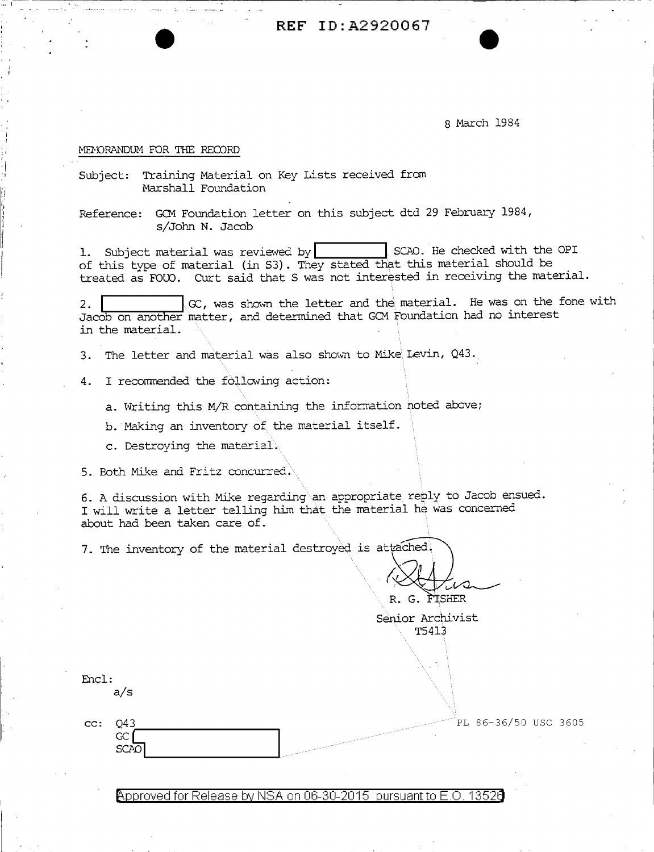**REF ID:A2920067** 

8 March 1984

## MENORANDUM FOR THE RECORD

 $-1$ 

 $\cdot$  i '  $\vdots$ ·1 :1 'i ·, 'I 'I j I

Subject: Training Material on Key Lists received from .Marshall Foundation

Reference: GCM Foundation letter on this subject dtd 29 February 1984, s/John N. Jacob

1. Subject material was reviewed by | SCAO. He checked with the OPI of this type of material (in S3) . They stated that this material should be treated as FOCO. Curt said that S was not interested in receiving the material.

2.  $\vert$  GC, was shown the letter and the material. He was on the fone with Jacob on another matter, and determined that GQ1 Foundation had no interest in the material.

3. The letter and material was also shown to Mike Levin, Q43.

4. I recommended the following action:

a. Writing this M/R containing the information noted above;

b. Making an inventory of the material itself.

c. Destroying the material.

~~rD--------------------

5. Both Mike and Fritz concurred.

6. A discussion with Mike regarding\an appropriate reply to Jacob ensued. I will write a letter telling him that the material he was concerned about had been taken care of.

7. The inventory of the material destroyed is attached.

R. G. FISHER

Senior Archivist T5413

| Encl: |     |
|-------|-----|
|       | a/s |

cc: Q43

**SCAC** 

.<br>PL 86-36/50 USC 3605

**@'pp** roved for Release **by** NSA on 06-30-2015 pursuantto E .0. 1352a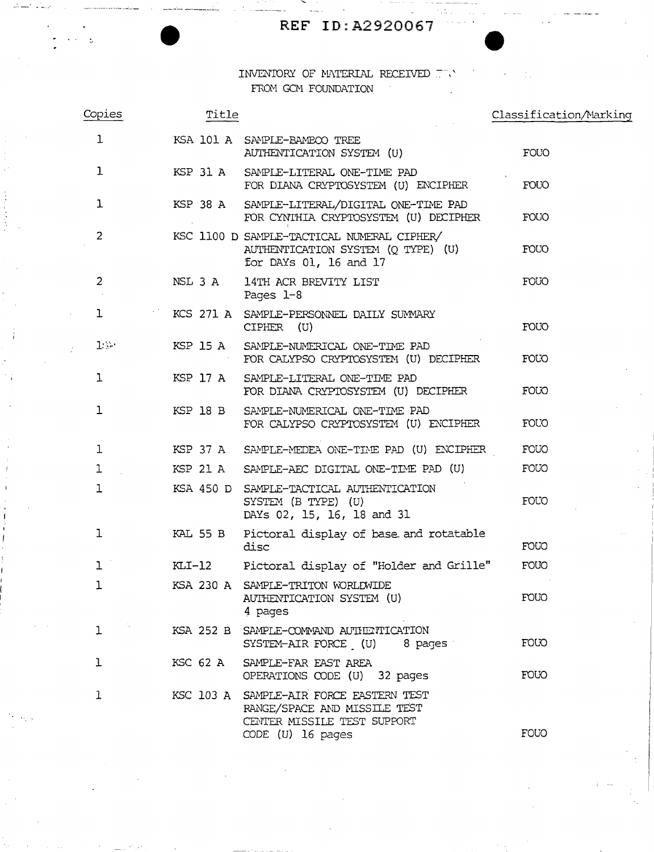## INVENTORY OF MATERIAL RECEIVED  $\mathbb{T}^m\mathcal{N}$ FROM GCM FOUNDATION  $\sim 10^7$

| Copies         | Title                                                                                                                       |                                         | Classification/Marking |
|----------------|-----------------------------------------------------------------------------------------------------------------------------|-----------------------------------------|------------------------|
| 1              | KSA 101 A SAMPLE-BAMECO TREE<br>AUTHENTICATION SYSTEM (U)                                                                   |                                         | FOUO                   |
| 1              | KSP 31 A SAMPLE-LITERAL ONE-TIME PAD                                                                                        | FOR DIANA CRYPTOSYSTEM (U) ENCIPHER     | FOUO                   |
| 1              | KSP 38 A SAMPLE-LITERAL/DIGITAL ONE-TIME PAD                                                                                | FOR CYNTHIA CRYPTOSYSTEM (U) DECIPHER   | FOUO                   |
| $\overline{2}$ | KSC 1100 D SAMPLE-TACTICAL NUMERAL CIPHER/<br>for DAYs 01, 16 and 17                                                        | AUTHENTICATION SYSTEM (Q TYPE) (U)      | <b>FOUO</b>            |
| $\overline{c}$ | NSL 3 A<br>14TH ACR BREVITY LIST<br>Pages 1-8                                                                               |                                         | FOUO                   |
| $\mathbf 1$    | 大气气<br>KCS 271 A SAMPLE-PERSONNEL DAILY SUMMARY<br>CIPHER (U)                                                               |                                         | FOUO                   |
| $1$ in         | KSP 15 A SAMPLE-NUMERICAL ONE-TIME PAD                                                                                      | FOR CALYPSO CRYPTOSYSTEM (U) DECIPHER   | FOUO                   |
| ı              | KSP 17 A SAMPLE-LITERAL ONE-TIME PAD                                                                                        | FOR DIANA CRYPTOSYSTEM (U) DECIPHER     | FOUO                   |
| ı              | KSP 18 B SAMPLE-NUMERICAL ONE-TIME PAD                                                                                      | FOR CALYPSO CRYPTOSYSTEM (U) ENCIPHER   | FOUO                   |
| ı              | KSP 37 A SAMPLE-MEDEA ONE-TIME PAD (U) ENCIPHER                                                                             |                                         | FOUO                   |
| 1              | KSP 21 A SAMPLE-AEC DIGITAL ONE-TIME PAD (U)                                                                                |                                         | FOUO                   |
| l              | KSA 450 D SAMPLE-TACTICAL AUTHENTICATION<br>SYSTEM (B TYPE) (U)<br>DAYs 02, 15, 16, 18 and 31                               |                                         | <b>FOUO</b>            |
| ı              | KAL 55 B<br>disc                                                                                                            | Pictoral display of base and rotatable  | <b>FOUO</b>            |
| ı              | KLI-12                                                                                                                      | Pictoral display of "Holder and Grille" | FOUO                   |
| ┻              | KSA 230 A SAMPLE-TRITON WORLDWIDE<br>AUTHENTICATION SYSTEM (U)<br>4 pages                                                   |                                         | <b>FOUO</b>            |
| 1              | KSA 252 B SAMPLE-COMMAND AUTHENTICATION                                                                                     | SYSTEM-AIR FORCE (U) 8 pages            | FOUO                   |
| ı              | KSC 62 A<br>SAMPLE-FAR EAST AREA                                                                                            | OPERATIONS CODE (U) 32 pages            | FOUO                   |
| 1              | KSC 103 A SAMPLE-AIR FORCE EASTERN TEST<br>RANGE/SPACE AND MISSILE TEST<br>CENTER MISSILE TEST SUPPORT<br>CODE (U) 16 pages |                                         | <b>FOUO</b>            |